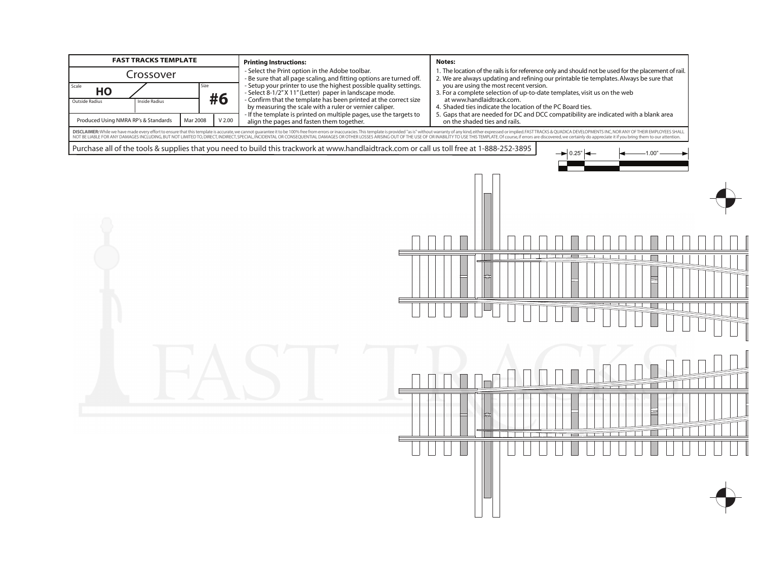